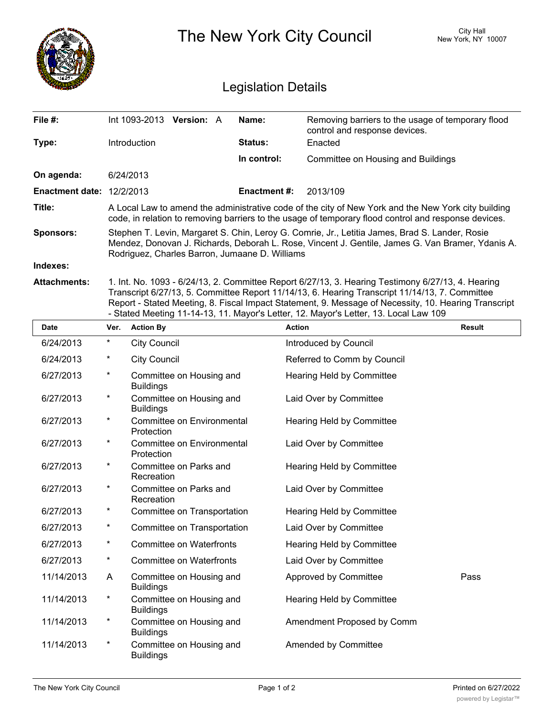|                                  | City Hall<br>The New York City Council<br>New York, NY 10007<br><b>Legislation Details</b>                                                                                                                                                           |  |                |                                                                                    |  |  |  |  |
|----------------------------------|------------------------------------------------------------------------------------------------------------------------------------------------------------------------------------------------------------------------------------------------------|--|----------------|------------------------------------------------------------------------------------|--|--|--|--|
| File #:                          | Int 1093-2013 Version: A                                                                                                                                                                                                                             |  | Name:          | Removing barriers to the usage of temporary flood<br>control and response devices. |  |  |  |  |
| Type:                            | <b>Introduction</b>                                                                                                                                                                                                                                  |  | <b>Status:</b> | Enacted                                                                            |  |  |  |  |
|                                  |                                                                                                                                                                                                                                                      |  | In control:    | Committee on Housing and Buildings                                                 |  |  |  |  |
| On agenda:                       | 6/24/2013                                                                                                                                                                                                                                            |  |                |                                                                                    |  |  |  |  |
| <b>Enactment date: 12/2/2013</b> |                                                                                                                                                                                                                                                      |  | Enactment #:   | 2013/109                                                                           |  |  |  |  |
| Title:                           | A Local Law to amend the administrative code of the city of New York and the New York city building<br>code, in relation to removing barriers to the usage of temporary flood control and response devices.                                          |  |                |                                                                                    |  |  |  |  |
| <b>Sponsors:</b>                 | Stephen T. Levin, Margaret S. Chin, Leroy G. Comrie, Jr., Letitia James, Brad S. Lander, Rosie<br>Mendez, Donovan J. Richards, Deborah L. Rose, Vincent J. Gentile, James G. Van Bramer, Ydanis A.<br>Rodriguez, Charles Barron, Jumaane D. Williams |  |                |                                                                                    |  |  |  |  |
| Indexes:                         |                                                                                                                                                                                                                                                      |  |                |                                                                                    |  |  |  |  |
|                                  |                                                                                                                                                                                                                                                      |  |                |                                                                                    |  |  |  |  |

**Attachments:** 1. Int. No. 1093 - 6/24/13, 2. Committee Report 6/27/13, 3. Hearing Testimony 6/27/13, 4. Hearing Transcript 6/27/13, 5. Committee Report 11/14/13, 6. Hearing Transcript 11/14/13, 7. Committee Report - Stated Meeting, 8. Fiscal Impact Statement, 9. Message of Necessity, 10. Hearing Transcript - Stated Meeting 11-14-13, 11. Mayor's Letter, 12. Mayor's Letter, 13. Local Law 109

| <b>Date</b> | Ver.     | <b>Action By</b>                             | <b>Action</b>                    | <b>Result</b> |
|-------------|----------|----------------------------------------------|----------------------------------|---------------|
| 6/24/2013   | $\star$  | <b>City Council</b>                          | Introduced by Council            |               |
| 6/24/2013   | $^\ast$  | <b>City Council</b>                          | Referred to Comm by Council      |               |
| 6/27/2013   | $\star$  | Committee on Housing and<br><b>Buildings</b> | <b>Hearing Held by Committee</b> |               |
| 6/27/2013   | $\star$  | Committee on Housing and<br><b>Buildings</b> | Laid Over by Committee           |               |
| 6/27/2013   | $\star$  | Committee on Environmental<br>Protection     | Hearing Held by Committee        |               |
| 6/27/2013   | $^\ast$  | Committee on Environmental<br>Protection     | Laid Over by Committee           |               |
| 6/27/2013   | $^\star$ | Committee on Parks and<br>Recreation         | Hearing Held by Committee        |               |
| 6/27/2013   | $\star$  | Committee on Parks and<br>Recreation         | Laid Over by Committee           |               |
| 6/27/2013   | $\ast$   | Committee on Transportation                  | Hearing Held by Committee        |               |
| 6/27/2013   | $\star$  | Committee on Transportation                  | Laid Over by Committee           |               |
| 6/27/2013   | $\star$  | <b>Committee on Waterfronts</b>              | Hearing Held by Committee        |               |
| 6/27/2013   | $\star$  | <b>Committee on Waterfronts</b>              | Laid Over by Committee           |               |
| 11/14/2013  | A        | Committee on Housing and<br><b>Buildings</b> | Approved by Committee            | Pass          |
| 11/14/2013  | $^\ast$  | Committee on Housing and<br><b>Buildings</b> | <b>Hearing Held by Committee</b> |               |
| 11/14/2013  | $\star$  | Committee on Housing and<br><b>Buildings</b> | Amendment Proposed by Comm       |               |
| 11/14/2013  | $^\ast$  | Committee on Housing and<br><b>Buildings</b> | Amended by Committee             |               |